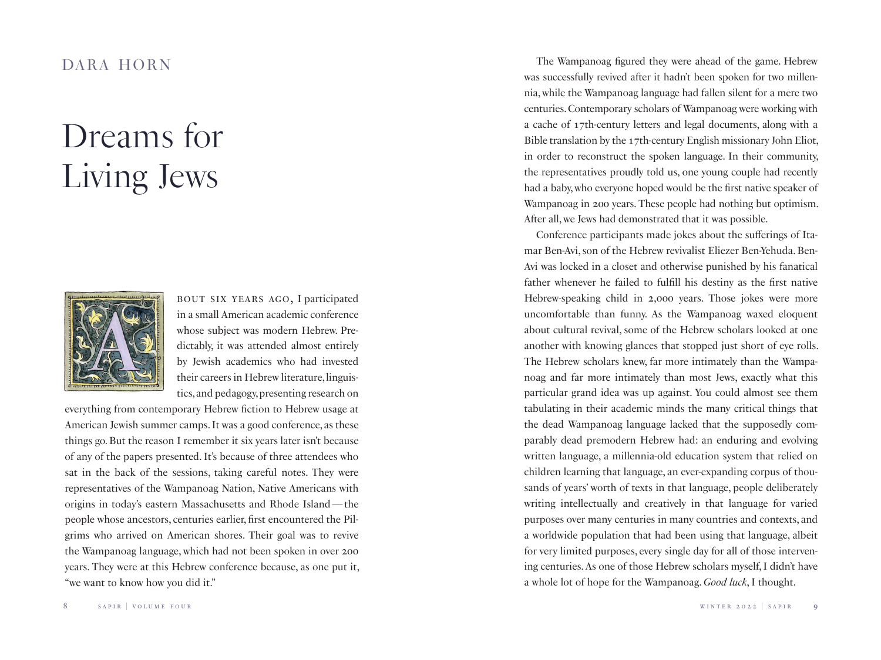## *Dreams for Living Jews*



bout six years ago, I participated in a small American academic conference whose subject was modern Hebrew. Predictably, it was attended almost entirely by Jewish academics who had invested their careers in Hebrew literature, linguistics, and pedagogy, presenting research on

everything from contemporary Hebrew fiction to Hebrew usage at American Jewish summer camps. It was a good conference, as these things go. But the reason I remember it six years later isn't because of any of the papers presented. It's because of three attendees who sat in the back of the sessions, taking careful notes. They were representatives of the Wampanoag Nation, Native Americans with origins in today's eastern Massachusetts and Rhode Island—the people whose ancestors, centuries earlier, first encountered the Pilgrims who arrived on American shores. Their goal was to revive the Wampanoag language, which had not been spoken in over 200 years. They were at this Hebrew conference because, as one put it, "we want to know how you did it."

DARA HORN The Wampanoag figured they were ahead of the game. Hebrew was successfully revived after it hadn't been spoken for two millennia, while the Wampanoag language had fallen silent for a mere two centuries. Contemporary scholars of Wampanoag were working with a cache of 17th-century letters and legal documents, along with a Bible translation by the 17th-century English missionary John Eliot, in order to reconstruct the spoken language. In their community, the representatives proudly told us, one young couple had recently had a baby, who everyone hoped would be the first native speaker of Wampanoag in 200 years. These people had nothing but optimism. After all, we Jews had demonstrated that it was possible.

> Conference participants made jokes about the sufferings of Itamar Ben-Avi, son of the Hebrew revivalist Eliezer Ben-Yehuda. Ben-Avi was locked in a closet and otherwise punished by his fanatical father whenever he failed to fulfill his destiny as the first native Hebrew-speaking child in 2,000 years. Those jokes were more uncomfortable than funny. As the Wampanoag waxed eloquent about cultural revival, some of the Hebrew scholars looked at one another with knowing glances that stopped just short of eye rolls. The Hebrew scholars knew, far more intimately than the Wampanoag and far more intimately than most Jews, exactly what this particular grand idea was up against. You could almost see them tabulating in their academic minds the many critical things that the dead Wampanoag language lacked that the supposedly comparably dead premodern Hebrew had: an enduring and evolving written language, a millennia-old education system that relied on children learning that language, an ever-expanding corpus of thousands of years' worth of texts in that language, people deliberately writing intellectually and creatively in that language for varied purposes over many centuries in many countries and contexts, and a worldwide population that had been using that language, albeit for very limited purposes, every single day for all of those intervening centuries. As one of those Hebrew scholars myself, I didn't have a whole lot of hope for the Wampanoag. *Good luck*, I thought.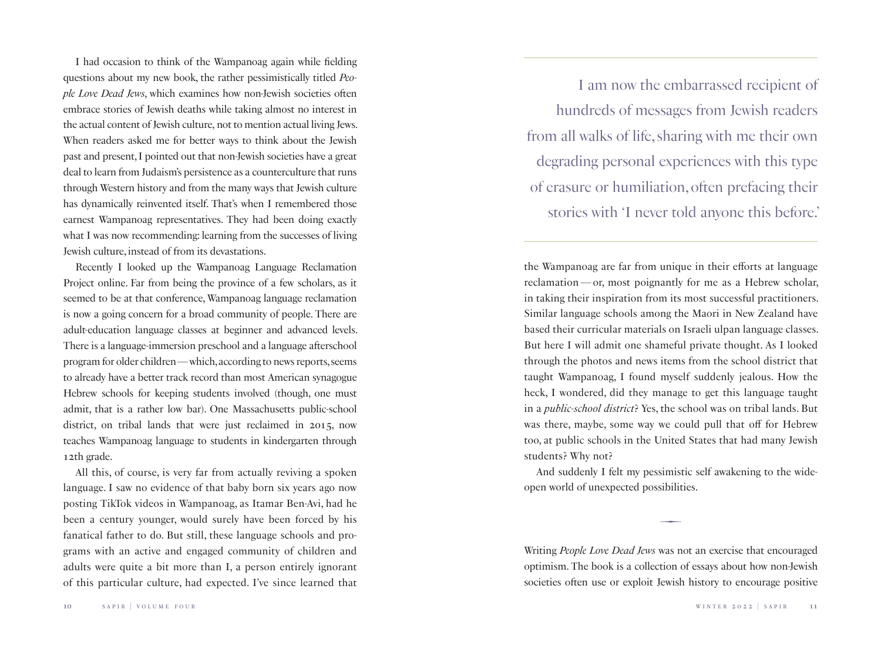I had occasion to think of the Wampanoag again while fielding questions about my new book, the rather pessimistically titled *People Love Dead Jews*, which examines how non-Jewish societies often embrace stories of Jewish deaths while taking almost no interest in the actual content of Jewish culture, not to mention actual living Jews. When readers asked me for better ways to think about the Jewish past and present, I pointed out that non-Jewish societies have a great deal to learn from Judaism's persistence as a counterculture that runs through Western history and from the many ways that Jewish culture has dynamically reinvented itself. That's when I remembered those earnest Wampanoag representatives. They had been doing exactly what I was now recommending: learning from the successes of living Jewish culture, instead of from its devastations.

Recently I looked up the Wampanoag Language Reclamation Project online. Far from being the province of a few scholars, as it seemed to be at that conference, Wampanoag language reclamation is now a going concern for a broad community of people. There are adult-education language classes at beginner and advanced levels. There is a language-immersion preschool and a language afterschool program for older children—which, according to news reports, seems to already have a better track record than most American synagogue Hebrew schools for keeping students involved (though, one must admit, that is a rather low bar). One Massachusetts public-school district, on tribal lands that were just reclaimed in 2015, now teaches Wampanoag language to students in kindergarten through 12th grade.

All this, of course, is very far from actually reviving a spoken language. I saw no evidence of that baby born six years ago now posting TikTok videos in Wampanoag, as Itamar Ben-Avi, had he been a century younger, would surely have been forced by his fanatical father to do. But still, these language schools and programs with an active and engaged community of children and adults were quite a bit more than I, a person entirely ignorant of this particular culture, had expected. I've since learned that

I am now the embarrassed recipient of hundreds of messages from Jewish readers from all walks of life, sharing with me their own degrading personal experiences with this type of erasure or humiliation, often prefacing their stories with 'I never told anyone this before.'

the Wampanoag are far from unique in their efforts at language reclamation—or, most poignantly for me as a Hebrew scholar, in taking their inspiration from its most successful practitioners. Similar language schools among the Maori in New Zealand have based their curricular materials on Israeli ulpan language classes. But here I will admit one shameful private thought. As I looked through the photos and news items from the school district that taught Wampanoag, I found myself suddenly jealous. How the heck, I wondered, did they manage to get this language taught in a *public-school district*? Yes, the school was on tribal lands. But was there, maybe, some way we could pull that off for Hebrew too, at public schools in the United States that had many Jewish students? Why not?

And suddenly I felt my pessimistic self awakening to the wideopen world of unexpected possibilities.

 $\overline{\phantom{0}}$ 

Writing *People Love Dead Jews* was not an exercise that encouraged optimism. The book is a collection of essays about how non-Jewish societies often use or exploit Jewish history to encourage positive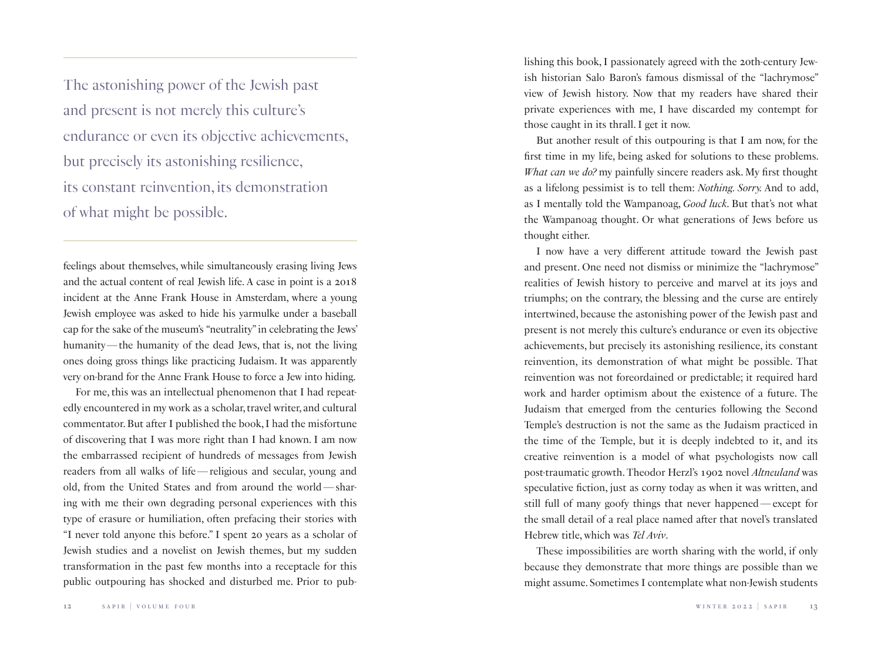The astonishing power of the Jewish past and present is not merely this culture's endurance or even its objective achievements, but precisely its astonishing resilience, its constant reinvention, its demonstration of what might be possible.

feelings about themselves, while simultaneously erasing living Jews and the actual content of real Jewish life. A case in point is a 2018 incident at the Anne Frank House in Amsterdam, where a young Jewish employee was asked to hide his yarmulke under a baseball cap for the sake of the museum's "neutrality" in celebrating the Jews' humanity—the humanity of the dead Jews, that is, not the living ones doing gross things like practicing Judaism. It was apparently very on-brand for the Anne Frank House to force a Jew into hiding.

For me, this was an intellectual phenomenon that I had repeatedly encountered in my work as a scholar, travel writer, and cultural commentator. But after I published the book, I had the misfortune of discovering that I was more right than I had known. I am now the embarrassed recipient of hundreds of messages from Jewish readers from all walks of life—religious and secular, young and old, from the United States and from around the world—sharing with me their own degrading personal experiences with this type of erasure or humiliation, often prefacing their stories with "I never told anyone this before." I spent 20 years as a scholar of Jewish studies and a novelist on Jewish themes, but my sudden transformation in the past few months into a receptacle for this public outpouring has shocked and disturbed me. Prior to publishing this book, I passionately agreed with the 20th-century Jewish historian Salo Baron's famous dismissal of the "lachrymose" view of Jewish history. Now that my readers have shared their private experiences with me, I have discarded my contempt for those caught in its thrall. I get it now.

But another result of this outpouring is that I am now, for the first time in my life, being asked for solutions to these problems. *What can we do?* my painfully sincere readers ask. My first thought as a lifelong pessimist is to tell them: *Nothing. Sorry.* And to add, as I mentally told the Wampanoag, *Good luck*. But that's not what the Wampanoag thought. Or what generations of Jews before us thought either.

I now have a very different attitude toward the Jewish past and present. One need not dismiss or minimize the "lachrymose" realities of Jewish history to perceive and marvel at its joys and triumphs; on the contrary, the blessing and the curse are entirely intertwined, because the astonishing power of the Jewish past and present is not merely this culture's endurance or even its objective achievements, but precisely its astonishing resilience, its constant reinvention, its demonstration of what might be possible. That reinvention was not foreordained or predictable; it required hard work and harder optimism about the existence of a future. The Judaism that emerged from the centuries following the Second Temple's destruction is not the same as the Judaism practiced in the time of the Temple, but it is deeply indebted to it, and its creative reinvention is a model of what psychologists now call post-traumatic growth. Theodor Herzl's 1902 novel *Altneuland* was speculative fiction, just as corny today as when it was written, and still full of many goofy things that never happened—except for the small detail of a real place named after that novel's translated Hebrew title, which was *Tel Aviv*.

These impossibilities are worth sharing with the world, if only because they demonstrate that more things are possible than we might assume. Sometimes I contemplate what non-Jewish students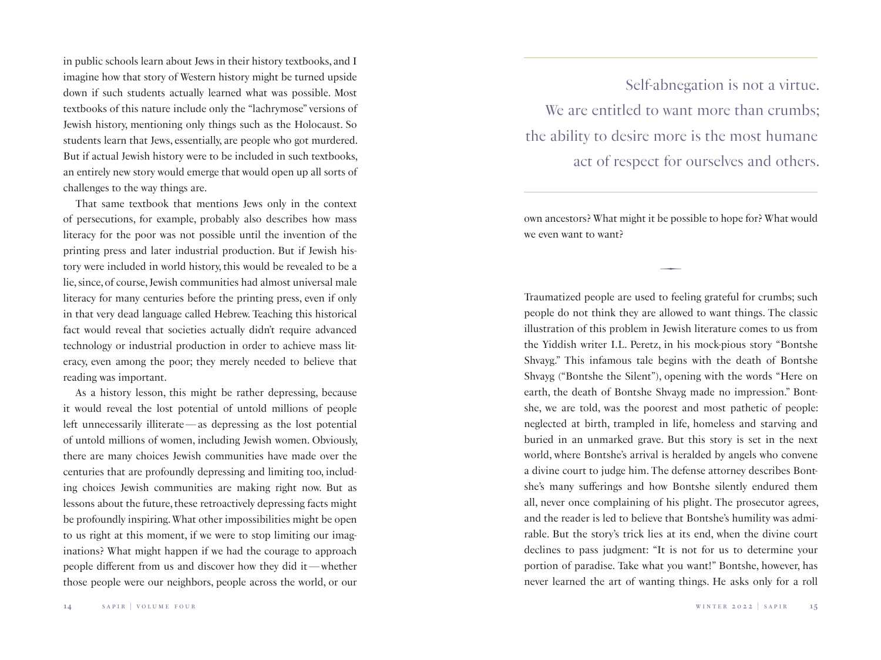in public schools learn about Jews in their history textbooks, and I imagine how that story of Western history might be turned upside down if such students actually learned what was possible. Most textbooks of this nature include only the "lachrymose" versions of Jewish history, mentioning only things such as the Holocaust. So students learn that Jews, essentially, are people who got murdered. But if actual Jewish history were to be included in such textbooks, an entirely new story would emerge that would open up all sorts of challenges to the way things are.

That same textbook that mentions Jews only in the context of persecutions, for example, probably also describes how mass literacy for the poor was not possible until the invention of the printing press and later industrial production. But if Jewish history were included in world history, this would be revealed to be a lie, since, of course, Jewish communities had almost universal male literacy for many centuries before the printing press, even if only in that very dead language called Hebrew. Teaching this historical fact would reveal that societies actually didn't require advanced technology or industrial production in order to achieve mass literacy, even among the poor; they merely needed to believe that reading was important.

As a history lesson, this might be rather depressing, because it would reveal the lost potential of untold millions of people left unnecessarily illiterate—as depressing as the lost potential of untold millions of women, including Jewish women. Obviously, there are many choices Jewish communities have made over the centuries that are profoundly depressing and limiting too, including choices Jewish communities are making right now. But as lessons about the future, these retroactively depressing facts might be profoundly inspiring. What other impossibilities might be open to us right at this moment, if we were to stop limiting our imaginations? What might happen if we had the courage to approach people different from us and discover how they did it—whether those people were our neighbors, people across the world, or our

Self-abnegation is not a virtue. We are entitled to want more than crumbs: the ability to desire more is the most humane act of respect for ourselves and others.

own ancestors? What might it be possible to hope for? What would we even want to want?

 $\overline{\phantom{0}}$ 

Traumatized people are used to feeling grateful for crumbs; such people do not think they are allowed to want things. The classic illustration of this problem in Jewish literature comes to us from the Yiddish writer I.L. Peretz, in his mock-pious story "Bontshe Shvayg." This infamous tale begins with the death of Bontshe Shvayg ("Bontshe the Silent"), opening with the words "Here on earth, the death of Bontshe Shvayg made no impression." Bontshe, we are told, was the poorest and most pathetic of people: neglected at birth, trampled in life, homeless and starving and buried in an unmarked grave. But this story is set in the next world, where Bontshe's arrival is heralded by angels who convene a divine court to judge him. The defense attorney describes Bontshe's many sufferings and how Bontshe silently endured them all, never once complaining of his plight. The prosecutor agrees, and the reader is led to believe that Bontshe's humility was admirable. But the story's trick lies at its end, when the divine court declines to pass judgment: "It is not for us to determine your portion of paradise. Take what you want!" Bontshe, however, has never learned the art of wanting things. He asks only for a roll